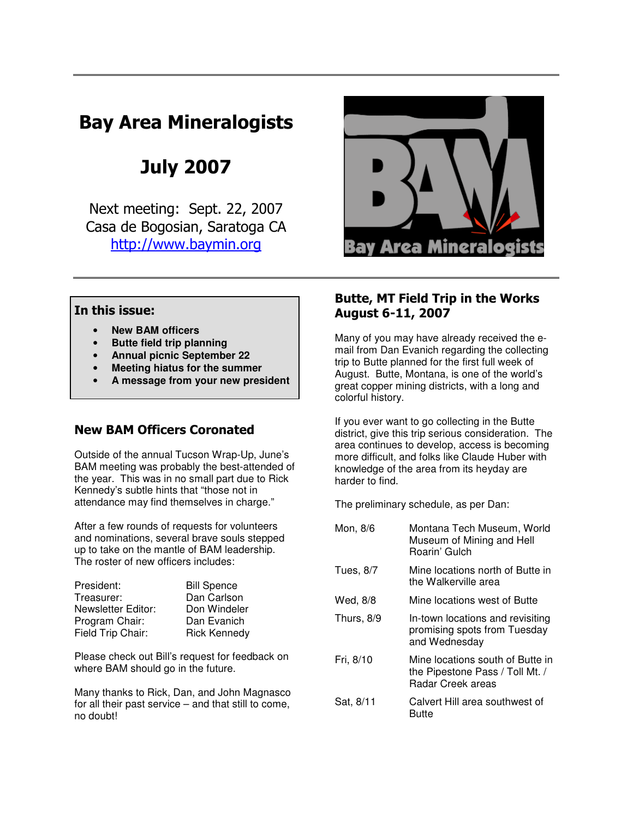# Bay Area Mineralogists

July 2007

 Next meeting: Sept. 22, 2007 Casa de Bogosian, Saratoga CA http://www.baymin.org



# In this issue:

- **New BAM officers**
- **Butte field trip planning**
- **Annual picnic September 22**
- **Meeting hiatus for the summer**
- **A message from your new president**

# New BAM Officers Coronated

Outside of the annual Tucson Wrap-Up, June's BAM meeting was probably the best-attended of the year. This was in no small part due to Rick Kennedy's subtle hints that "those not in attendance may find themselves in charge."

After a few rounds of requests for volunteers and nominations, several brave souls stepped up to take on the mantle of BAM leadership. The roster of new officers includes:

| President:         | <b>Bill Spence</b>  |
|--------------------|---------------------|
| Treasurer:         | Dan Carlson         |
| Newsletter Editor: | Don Windeler        |
| Program Chair:     | Dan Evanich         |
| Field Trip Chair:  | <b>Rick Kennedy</b> |
|                    |                     |

Please check out Bill's request for feedback on where BAM should go in the future.

Many thanks to Rick, Dan, and John Magnasco for all their past service – and that still to come, no doubt!

# Butte, MT Field Trip in the Works August 6-11, 2007

Many of you may have already received the email from Dan Evanich regarding the collecting trip to Butte planned for the first full week of August. Butte, Montana, is one of the world's great copper mining districts, with a long and colorful history.

If you ever want to go collecting in the Butte district, give this trip serious consideration. The area continues to develop, access is becoming more difficult, and folks like Claude Huber with knowledge of the area from its heyday are harder to find.

The preliminary schedule, as per Dan:

| Mon, 8/6   | Montana Tech Museum, World<br>Museum of Mining and Hell<br>Roarin' Gulch                        |
|------------|-------------------------------------------------------------------------------------------------|
| Tues, 8/7  | Mine locations north of Butte in<br>the Walkerville area                                        |
| Wed, 8/8   | Mine locations west of Butte                                                                    |
| Thurs, 8/9 | In-town locations and revisiting<br>promising spots from Tuesday<br>and Wednesday               |
| Fri, 8/10  | Mine locations south of Butte in<br>the Pipestone Pass / Toll Mt. /<br><b>Radar Creek areas</b> |
| Sat, 8/11  | Calvert Hill area southwest of<br>Butte                                                         |